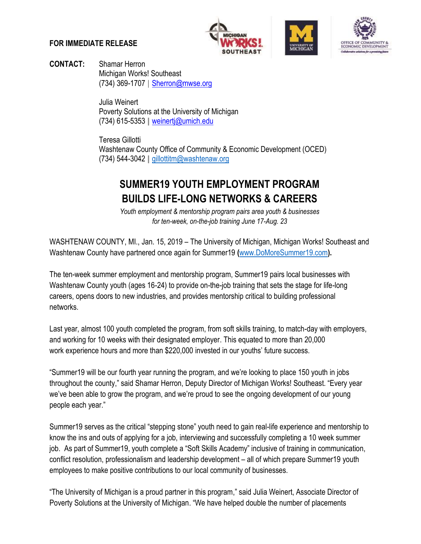## **FOR IMMEDIATE RELEASE**







**CONTACT:** Shamar Herron Michigan Works! Southeast (734) 369-1707 | [Sherron@mwse.org](mailto:Sherron@mwse.org)

> Julia Weinert Poverty Solutions at the University of Michigan (734) 615-5353 **|** weinertj@umich.edu

Teresa Gillotti Washtenaw County Office of Community & Economic Development (OCED) (734) 544-3042 **|** [gillottitm@washtenaw.org](mailto:gillottitm@washtenaw.org)

## **SUMMER19 YOUTH EMPLOYMENT PROGRAM BUILDS LIFE-LONG NETWORKS & CAREERS**

*Youth employment & mentorship program pairs area youth & businesses for ten-week, on-the-job training June 17-Aug. 23*

WASHTENAW COUNTY, MI., Jan. 15, 2019 – The University of Michigan, Michigan Works! Southeast and Washtenaw County have partnered once again for Summer19 **(**[www.DoMoreSummer19.com](http://www.domoresummer19.com/)**).**

The ten-week summer employment and mentorship program, Summer19 pairs local businesses with Washtenaw County youth (ages 16-24) to provide on-the-job training that sets the stage for life-long careers, opens doors to new industries, and provides mentorship critical to building professional networks.

Last year, almost 100 youth completed the program, from soft skills training, to match-day with employers, and working for 10 weeks with their designated employer. This equated to more than 20,000 work experience hours and more than \$220,000 invested in our youths' future success.

"Summer19 will be our fourth year running the program, and we're looking to place 150 youth in jobs throughout the county," said Shamar Herron, Deputy Director of Michigan Works! Southeast. "Every year we've been able to grow the program, and we're proud to see the ongoing development of our young people each year."

Summer19 serves as the critical "stepping stone" youth need to gain real-life experience and mentorship to know the ins and outs of applying for a job, interviewing and successfully completing a 10 week summer job. As part of Summer19, youth complete a "Soft Skills Academy" inclusive of training in communication, conflict resolution, professionalism and leadership development – all of which prepare Summer19 youth employees to make positive contributions to our local community of businesses.

"The University of Michigan is a proud partner in this program," said Julia Weinert, Associate Director of Poverty Solutions at the University of Michigan. "We have helped double the number of placements